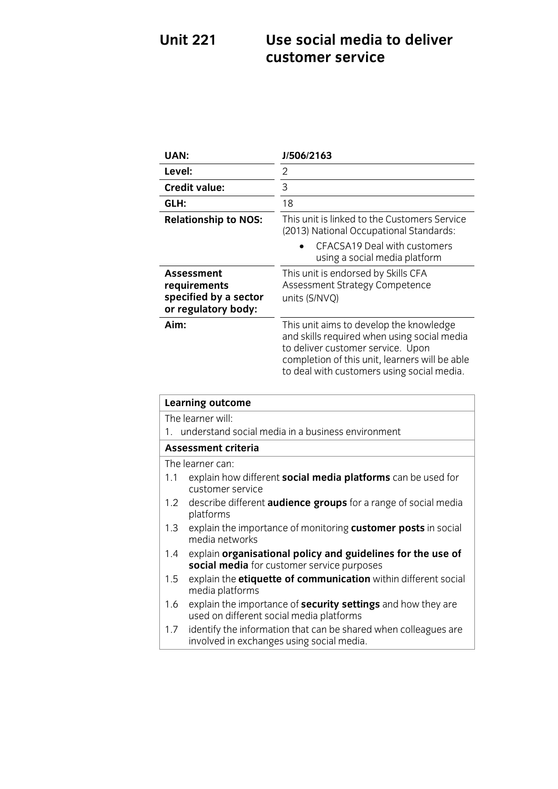### **Use social media to deliver<br>customer service Unit 221 customer service**

| <b>UAN:</b>                                                                                                      | J/506/2163                                                                                                                                                                                                                  |
|------------------------------------------------------------------------------------------------------------------|-----------------------------------------------------------------------------------------------------------------------------------------------------------------------------------------------------------------------------|
| Level:                                                                                                           | $\overline{2}$                                                                                                                                                                                                              |
| <b>Credit value:</b>                                                                                             | 3                                                                                                                                                                                                                           |
| GLH:                                                                                                             | 18                                                                                                                                                                                                                          |
| <b>Relationship to NOS:</b>                                                                                      | This unit is linked to the Customers Service<br>(2013) National Occupational Standards:<br>CFACSA19 Deal with customers<br>using a social media platform                                                                    |
| <b>Assessment</b><br>requirements<br>specified by a sector<br>or regulatory body:                                | This unit is endorsed by Skills CFA<br>Assessment Strategy Competence<br>units (S/NVQ)                                                                                                                                      |
| Aim:                                                                                                             | This unit aims to develop the knowledge<br>and skills required when using social media<br>to deliver customer service. Upon<br>completion of this unit, learners will be able<br>to deal with customers using social media. |
| <b>Learning outcome</b>                                                                                          |                                                                                                                                                                                                                             |
| The learner will:                                                                                                |                                                                                                                                                                                                                             |
| understand social media in a business environment<br>1.                                                          |                                                                                                                                                                                                                             |
| <b>Assessment criteria</b>                                                                                       |                                                                                                                                                                                                                             |
| The learner can:                                                                                                 |                                                                                                                                                                                                                             |
| explain how different social media platforms can be used for<br>1.1<br>customer service                          |                                                                                                                                                                                                                             |
| describe different audience groups for a range of social media<br>1.2<br>platforms                               |                                                                                                                                                                                                                             |
| explain the importance of monitoring customer posts in social<br>1.3<br>media networks                           |                                                                                                                                                                                                                             |
| explain organisational policy and guidelines for the use of<br>1.4<br>social media for customer service purposes |                                                                                                                                                                                                                             |

1.5 explain the **etiquette of communication** within different social media platforms

- explain the impe 1.6 explain the importance of **security settings** and how they are
- 1.7 identify the information that can be shared when colleagues are 1.7 Increase the information that can be changed when conceptually involved in exchanges using social media involved in exchanges using social media.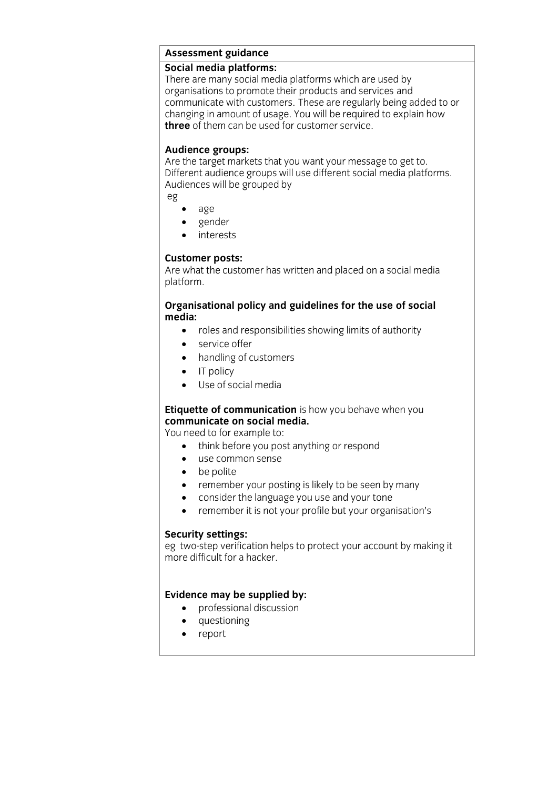### **Assessment guidance**

There are many social media platforms which are used by organisations to promote their products and services and communicate with customers. These are regularly being added to or changing in amount of usage. You will be required to explain how three of them can be used for customer service. **three** of them can be used for customer service.

Audience groups:<br>Are the target markets that you want your message to get to. Different audience groups will use different social media platforms. Audiences will be grouped by Audiences will be grouped by port

eg

- age
- gender
- interests

**Customer posts:**<br>Are what the customer has written and placed on a social media plat form. platform.

### **Organisational policy and guidelines for the use of social**

- **•** roles and responsibilities showing limits of authority
	- service offer<br>• handling of c
	- handling of customers
	- IT policy<br>• I Ise of so
	- Use of social media

# **Etiquette of communication** is how you behave when you communicate on social media.

You need to for example to:

- think before you post anything or respond
	- use common sense
	- $\bullet$  be polite<br> $\bullet$  remember
	- remember your posting is likely to be seen by many<br>• consider the language you use and your tone
	- consider the language you use and your tone<br>• remember it is not your profile but your organ
	- remember it is not your profile but your organisation's

**Security settings:**<br>eg two-step verification helps to protect your account by making it more difficult for a hacker.

- **Evidence may be supplied by:**<br> **e** professional discussion
	- questioning<br>• renort
	- report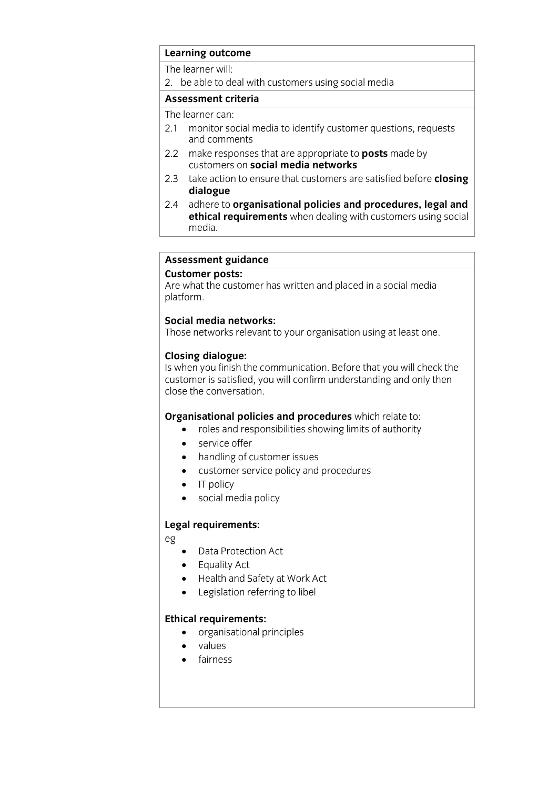### **Learning outcome**<br>The learner will:

The learner will<br>2 ho ablo to di  $\overline{\phantom{a}}$  be able to deal with customers using social media

## **Assessment criteria**<br>The learner can:

- 2.1 monitor social media to identify customer questions, requests and comments
- 2.2 make responses that are appropriate to **posts** made by customers on **social media networks**
- 2.3 take action to ensure that customers are satisfied before **closing** dialogue
- 2.4 adhere to **organisational policies and procedures**, legal and **2.4 Additional process and procedures** and **procedures** and **process and procedures ethical requirements** when dealing with customers using social <u>media</u>.

## **Assessment guidance**

Are what the customer has written and placed in a social media plat form. platform.

**Social metworks** relevant to Those networks relevant to your organisation using at least one.

**Closing dialogue:**<br>Is when you finish the communication. Before that you will check the customer is satisfied, you will confirm understanding and only then close the conversation. close the conversation.

- **organism** relate to:<br> **CORGO CORGO CORGO CORGO CORGO CORGO CORGO CORGO CORGO CORGO CORGO CORGO CORGO CORGO CORGO CORGO CORGO CORGO CORGO CORGO CORGO CORGO CORGO CORGO CORGO CORGO CORGO CORGO CORGO CORGO CORGO CORGO CORGO** 
	- service offer<br>• handling of c
	- handling of customer issues
	- customer service policy and procedures
	- IT policy
	- social media policy

## **Legal requirements:**

- eg
- Data Protection Act
- Equality Act
- Health and Safety at Work Act<br>• Legislation referring to libel
- Legislation referring to libel

- **Extrements**<br> **o** organisational principles
	- values
	- fairness